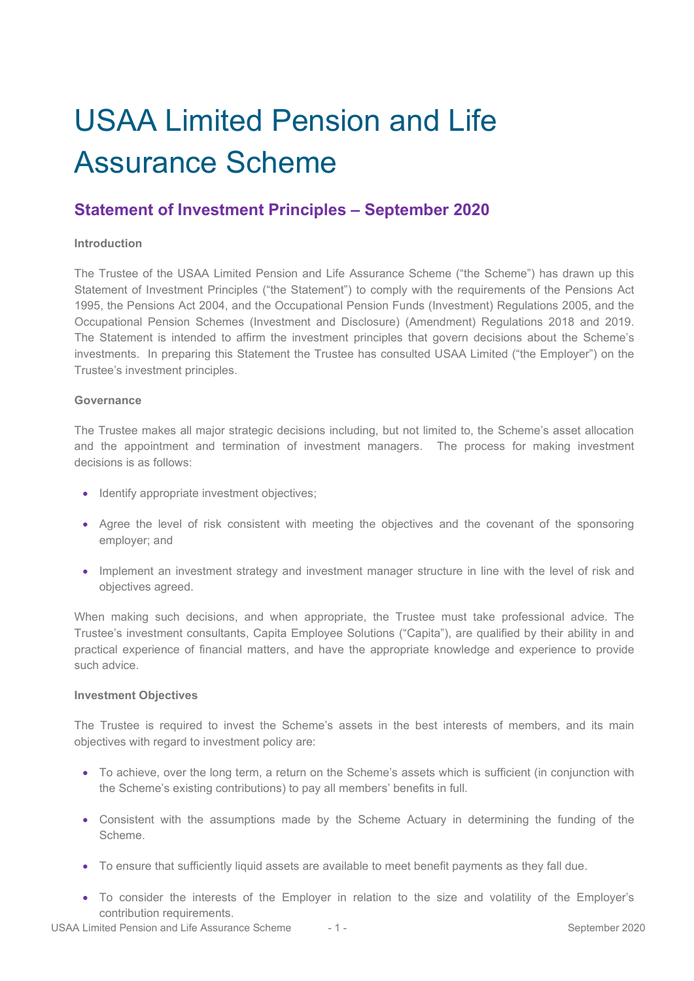# USAA Limited Pension and Life Assurance Scheme

# **Statement of Investment Principles – September 2020**

# **Introduction**

The Trustee of the USAA Limited Pension and Life Assurance Scheme ("the Scheme") has drawn up this Statement of Investment Principles ("the Statement") to comply with the requirements of the Pensions Act 1995, the Pensions Act 2004, and the Occupational Pension Funds (Investment) Regulations 2005, and the Occupational Pension Schemes (Investment and Disclosure) (Amendment) Regulations 2018 and 2019. The Statement is intended to affirm the investment principles that govern decisions about the Scheme's investments. In preparing this Statement the Trustee has consulted USAA Limited ("the Employer") on the Trustee's investment principles.

# **Governance**

The Trustee makes all major strategic decisions including, but not limited to, the Scheme's asset allocation and the appointment and termination of investment managers. The process for making investment decisions is as follows:

- Identify appropriate investment objectives;
- Agree the level of risk consistent with meeting the objectives and the covenant of the sponsoring employer; and
- Implement an investment strategy and investment manager structure in line with the level of risk and objectives agreed.

When making such decisions, and when appropriate, the Trustee must take professional advice. The Trustee's investment consultants, Capita Employee Solutions ("Capita"), are qualified by their ability in and practical experience of financial matters, and have the appropriate knowledge and experience to provide such advice.

# **Investment Objectives**

The Trustee is required to invest the Scheme's assets in the best interests of members, and its main objectives with regard to investment policy are:

- To achieve, over the long term, a return on the Scheme's assets which is sufficient (in conjunction with the Scheme's existing contributions) to pay all members' benefits in full.
- Consistent with the assumptions made by the Scheme Actuary in determining the funding of the Scheme.
- To ensure that sufficiently liquid assets are available to meet benefit payments as they fall due.
- To consider the interests of the Employer in relation to the size and volatility of the Employer's contribution requirements.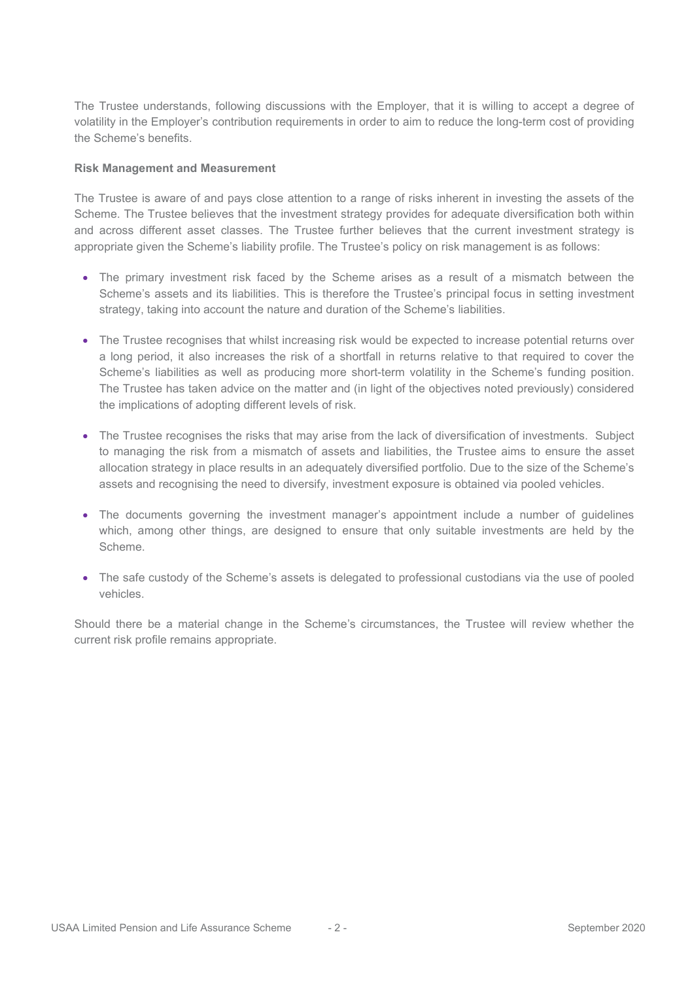The Trustee understands, following discussions with the Employer, that it is willing to accept a degree of volatility in the Employer's contribution requirements in order to aim to reduce the long-term cost of providing the Scheme's benefits.

#### **Risk Management and Measurement**

The Trustee is aware of and pays close attention to a range of risks inherent in investing the assets of the Scheme. The Trustee believes that the investment strategy provides for adequate diversification both within and across different asset classes. The Trustee further believes that the current investment strategy is appropriate given the Scheme's liability profile. The Trustee's policy on risk management is as follows:

- The primary investment risk faced by the Scheme arises as a result of a mismatch between the Scheme's assets and its liabilities. This is therefore the Trustee's principal focus in setting investment strategy, taking into account the nature and duration of the Scheme's liabilities.
- The Trustee recognises that whilst increasing risk would be expected to increase potential returns over a long period, it also increases the risk of a shortfall in returns relative to that required to cover the Scheme's liabilities as well as producing more short-term volatility in the Scheme's funding position. The Trustee has taken advice on the matter and (in light of the objectives noted previously) considered the implications of adopting different levels of risk.
- The Trustee recognises the risks that may arise from the lack of diversification of investments. Subject to managing the risk from a mismatch of assets and liabilities, the Trustee aims to ensure the asset allocation strategy in place results in an adequately diversified portfolio. Due to the size of the Scheme's assets and recognising the need to diversify, investment exposure is obtained via pooled vehicles.
- The documents governing the investment manager's appointment include a number of guidelines which, among other things, are designed to ensure that only suitable investments are held by the Scheme.
- The safe custody of the Scheme's assets is delegated to professional custodians via the use of pooled vehicles.

Should there be a material change in the Scheme's circumstances, the Trustee will review whether the current risk profile remains appropriate.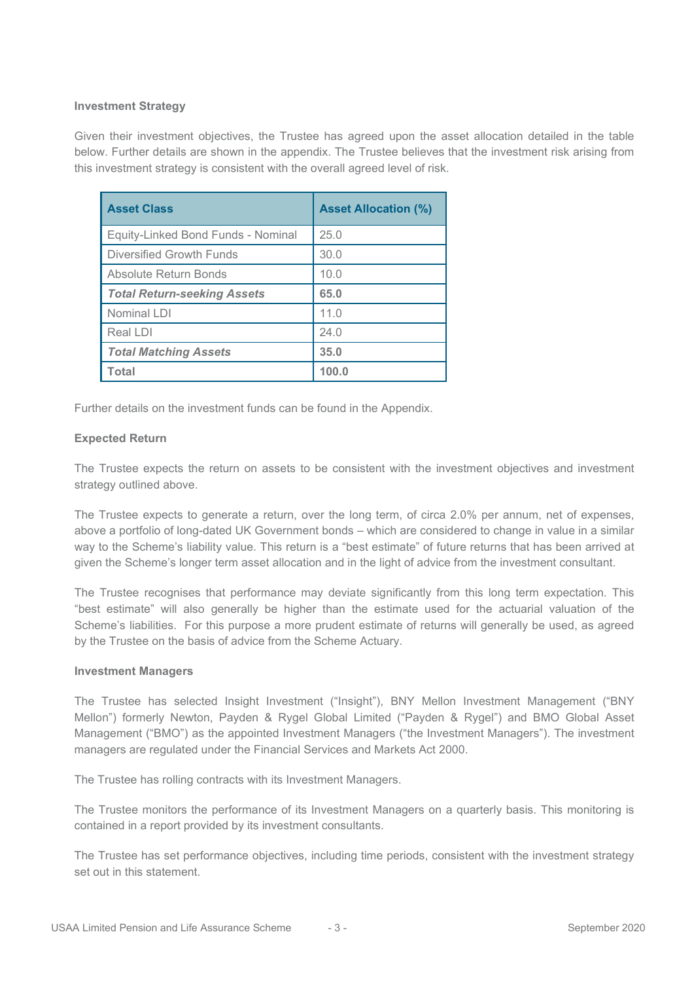# **Investment Strategy**

Given their investment objectives, the Trustee has agreed upon the asset allocation detailed in the table below. Further details are shown in the appendix. The Trustee believes that the investment risk arising from this investment strategy is consistent with the overall agreed level of risk.

| <b>Asset Class</b>                 | <b>Asset Allocation (%)</b> |
|------------------------------------|-----------------------------|
| Equity-Linked Bond Funds - Nominal | 25.0                        |
| <b>Diversified Growth Funds</b>    | 30.0                        |
| Absolute Return Bonds              | 10.0                        |
| <b>Total Return-seeking Assets</b> | 65.0                        |
| Nominal LDI                        | 11.0                        |
| Real LDI                           | 24.0                        |
| <b>Total Matching Assets</b>       | 35.0                        |
| <b>Total</b>                       | 100.0                       |

Further details on the investment funds can be found in the Appendix.

#### **Expected Return**

The Trustee expects the return on assets to be consistent with the investment objectives and investment strategy outlined above.

The Trustee expects to generate a return, over the long term, of circa 2.0% per annum, net of expenses, above a portfolio of long-dated UK Government bonds – which are considered to change in value in a similar way to the Scheme's liability value. This return is a "best estimate" of future returns that has been arrived at given the Scheme's longer term asset allocation and in the light of advice from the investment consultant.

The Trustee recognises that performance may deviate significantly from this long term expectation. This "best estimate" will also generally be higher than the estimate used for the actuarial valuation of the Scheme's liabilities. For this purpose a more prudent estimate of returns will generally be used, as agreed by the Trustee on the basis of advice from the Scheme Actuary.

#### **Investment Managers**

The Trustee has selected Insight Investment ("Insight"), BNY Mellon Investment Management ("BNY Mellon") formerly Newton, Payden & Rygel Global Limited ("Payden & Rygel") and BMO Global Asset Management ("BMO") as the appointed Investment Managers ("the Investment Managers"). The investment managers are regulated under the Financial Services and Markets Act 2000.

The Trustee has rolling contracts with its Investment Managers.

The Trustee monitors the performance of its Investment Managers on a quarterly basis. This monitoring is contained in a report provided by its investment consultants.

The Trustee has set performance objectives, including time periods, consistent with the investment strategy set out in this statement.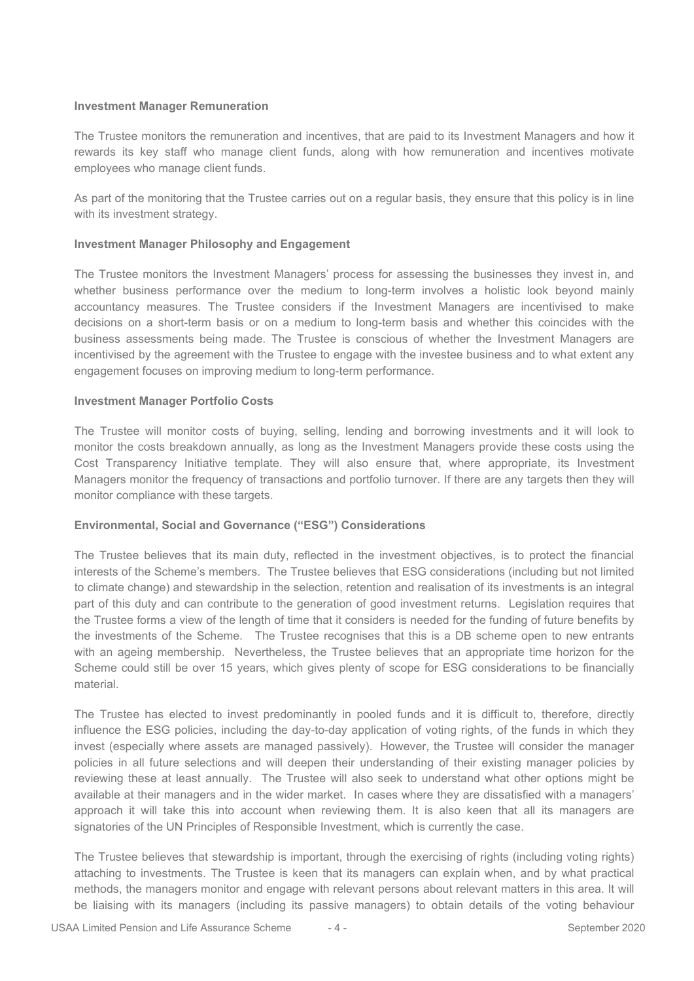#### **Investment Manager Remuneration**

The Trustee monitors the remuneration and incentives, that are paid to its Investment Managers and how it rewards its key staff who manage client funds, along with how remuneration and incentives motivate employees who manage client funds.

As part of the monitoring that the Trustee carries out on a regular basis, they ensure that this policy is in line with its investment strategy.

#### **Investment Manager Philosophy and Engagement**

The Trustee monitors the Investment Managers' process for assessing the businesses they invest in, and whether business performance over the medium to long-term involves a holistic look beyond mainly accountancy measures. The Trustee considers if the Investment Managers are incentivised to make decisions on a short-term basis or on a medium to long-term basis and whether this coincides with the business assessments being made. The Trustee is conscious of whether the Investment Managers are incentivised by the agreement with the Trustee to engage with the investee business and to what extent any engagement focuses on improving medium to long-term performance.

#### **Investment Manager Portfolio Costs**

The Trustee will monitor costs of buying, selling, lending and borrowing investments and it will look to monitor the costs breakdown annually, as long as the Investment Managers provide these costs using the Cost Transparency Initiative template. They will also ensure that, where appropriate, its Investment Managers monitor the frequency of transactions and portfolio turnover. If there are any targets then they will monitor compliance with these targets.

# **Environmental, Social and Governance ("ESG") Considerations**

The Trustee believes that its main duty, reflected in the investment objectives, is to protect the financial interests of the Scheme's members. The Trustee believes that ESG considerations (including but not limited to climate change) and stewardship in the selection, retention and realisation of its investments is an integral part of this duty and can contribute to the generation of good investment returns. Legislation requires that the Trustee forms a view of the length of time that it considers is needed for the funding of future benefits by the investments of the Scheme. The Trustee recognises that this is a DB scheme open to new entrants with an ageing membership. Nevertheless, the Trustee believes that an appropriate time horizon for the Scheme could still be over 15 years, which gives plenty of scope for ESG considerations to be financially material.

The Trustee has elected to invest predominantly in pooled funds and it is difficult to, therefore, directly influence the ESG policies, including the day-to-day application of voting rights, of the funds in which they invest (especially where assets are managed passively). However, the Trustee will consider the manager policies in all future selections and will deepen their understanding of their existing manager policies by reviewing these at least annually. The Trustee will also seek to understand what other options might be available at their managers and in the wider market. In cases where they are dissatisfied with a managers' approach it will take this into account when reviewing them. It is also keen that all its managers are signatories of the UN Principles of Responsible Investment, which is currently the case.

The Trustee believes that stewardship is important, through the exercising of rights (including voting rights) attaching to investments. The Trustee is keen that its managers can explain when, and by what practical methods, the managers monitor and engage with relevant persons about relevant matters in this area. It will be liaising with its managers (including its passive managers) to obtain details of the voting behaviour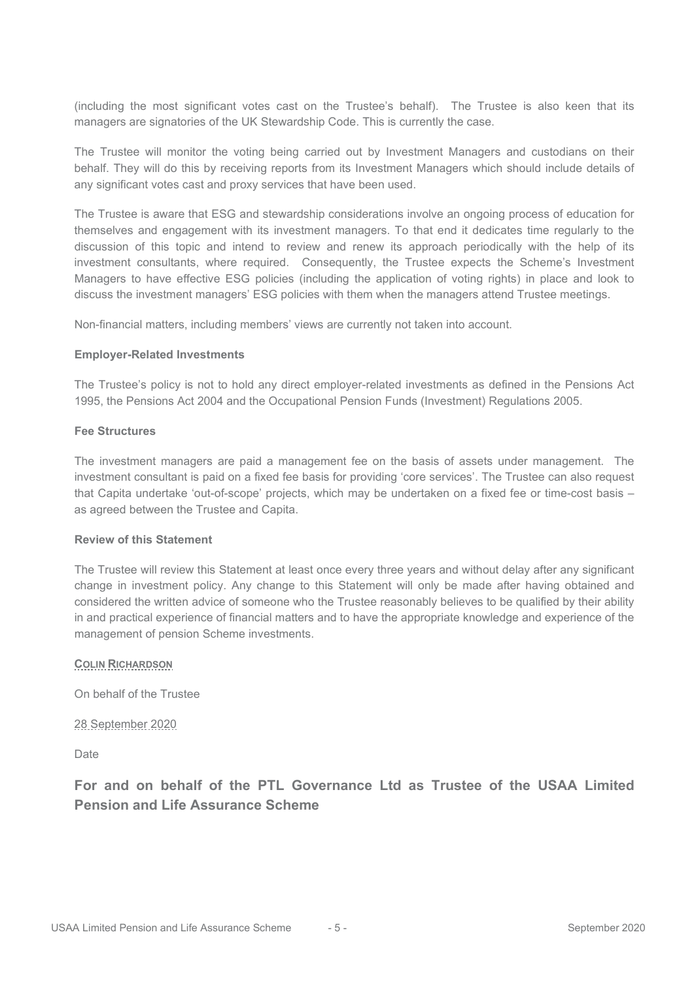(including the most significant votes cast on the Trustee's behalf). The Trustee is also keen that its managers are signatories of the UK Stewardship Code. This is currently the case.

The Trustee will monitor the voting being carried out by Investment Managers and custodians on their behalf. They will do this by receiving reports from its Investment Managers which should include details of any significant votes cast and proxy services that have been used.

The Trustee is aware that ESG and stewardship considerations involve an ongoing process of education for themselves and engagement with its investment managers. To that end it dedicates time regularly to the discussion of this topic and intend to review and renew its approach periodically with the help of its investment consultants, where required. Consequently, the Trustee expects the Scheme's Investment Managers to have effective ESG policies (including the application of voting rights) in place and look to discuss the investment managers' ESG policies with them when the managers attend Trustee meetings.

Non-financial matters, including members' views are currently not taken into account.

#### **Employer-Related Investments**

The Trustee's policy is not to hold any direct employer-related investments as defined in the Pensions Act 1995, the Pensions Act 2004 and the Occupational Pension Funds (Investment) Regulations 2005.

#### **Fee Structures**

The investment managers are paid a management fee on the basis of assets under management. The investment consultant is paid on a fixed fee basis for providing 'core services'. The Trustee can also request that Capita undertake 'out-of-scope' projects, which may be undertaken on a fixed fee or time-cost basis – as agreed between the Trustee and Capita.

#### **Review of this Statement**

The Trustee will review this Statement at least once every three years and without delay after any significant change in investment policy. Any change to this Statement will only be made after having obtained and considered the written advice of someone who the Trustee reasonably believes to be qualified by their ability in and practical experience of financial matters and to have the appropriate knowledge and experience of the management of pension Scheme investments.

# **COLIN RICHARDSON**

On behalf of the Trustee

28 September 2020

**Date** 

**For and on behalf of the PTL Governance Ltd as Trustee of the USAA Limited Pension and Life Assurance Scheme**